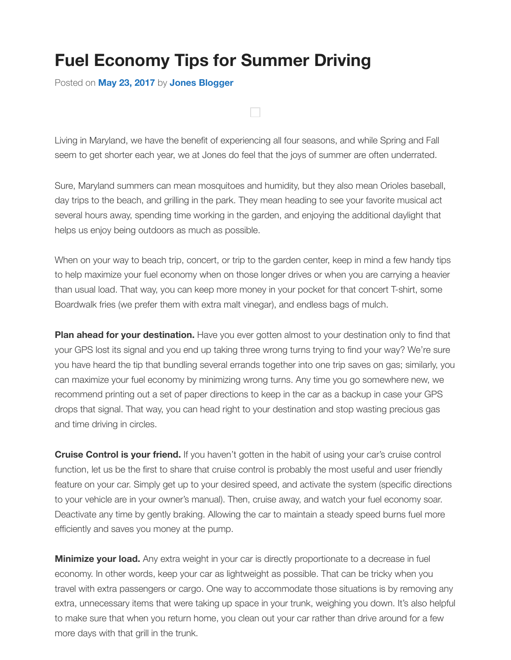## **Fuel Economy Tips for Summer Driving**

Posted on **May 23, 2017** by **Jones Blogger**

Living in Maryland, we have the benefit of experiencing all four seasons, and while Spring and Fall seem to get shorter each year, we at Jones do feel that the joys of summer are often underrated.

Sure, Maryland summers can mean mosquitoes and humidity, but they also mean Orioles baseball, day trips to the beach, and grilling in the park. They mean heading to see your favorite musical act several hours away, spending time working in the garden, and enjoying the additional daylight that helps us enjoy being outdoors as much as possible.

When on your way to beach trip, concert, or trip to the garden center, keep in mind a few handy tips to help maximize your fuel economy when on those longer drives or when you are carrying a heavier than usual load. That way, you can keep more money in your pocket for that concert T-shirt, some Boardwalk fries (we prefer them with extra malt vinegar), and endless bags of mulch.

**Plan ahead for your destination.** Have you ever gotten almost to your destination only to find that your GPS lost its signal and you end up taking three wrong turns trying to find your way? We're sure you have heard the tip that bundling several errands together into one trip saves on gas; similarly, you can maximize your fuel economy by minimizing wrong turns. Any time you go somewhere new, we recommend printing out a set of paper directions to keep in the car as a backup in case your GPS drops that signal. That way, you can head right to your destination and stop wasting precious gas and time driving in circles.

**Cruise Control is your friend.** If you haven't gotten in the habit of using your car's cruise control function, let us be the first to share that cruise control is probably the most useful and user friendly feature on your car. Simply get up to your desired speed, and activate the system (specific directions to your vehicle are in your owner's manual). Then, cruise away, and watch your fuel economy soar. Deactivate any time by gently braking. Allowing the car to maintain a steady speed burns fuel more efficiently and saves you money at the pump.

**Minimize your load.** Any extra weight in your car is directly proportionate to a decrease in fuel economy. In other words, keep your car as lightweight as possible. That can be tricky when you travel with extra passengers or cargo. One way to accommodate those situations is by removing any extra, unnecessary items that were taking up space in your trunk, weighing you down. It's also helpful to make sure that when you return home, you clean out your car rather than drive around for a few more days with that grill in the trunk.